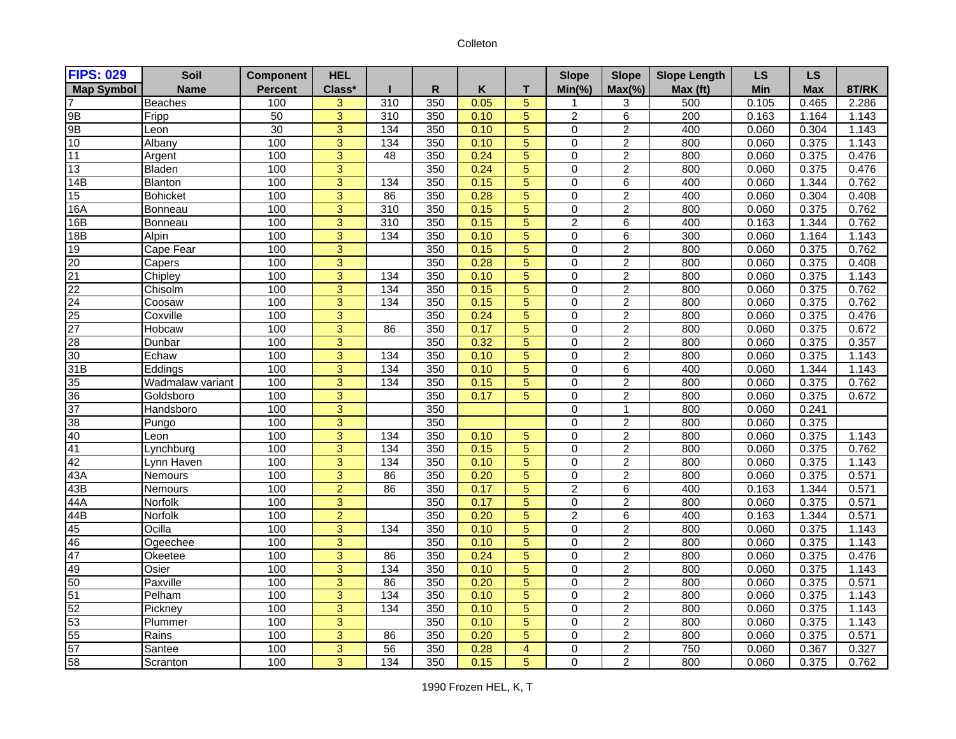## Colleton

| <b>FIPS: 029</b>                                                | Soil             | <b>Component</b> | <b>HEL</b>     |                  |              |      |                | <b>Slope</b>   | <b>Slope</b>     | <b>Slope Length</b> | <b>LS</b>  | <b>LS</b>  |       |
|-----------------------------------------------------------------|------------------|------------------|----------------|------------------|--------------|------|----------------|----------------|------------------|---------------------|------------|------------|-------|
| <b>Map Symbol</b>                                               | <b>Name</b>      | <b>Percent</b>   | Class*         |                  | $\mathsf{R}$ | Κ    | T              | $Min(\% )$     | $Max(\%)$        | Max (ft)            | <b>Min</b> | <b>Max</b> | 8T/RK |
|                                                                 | Beaches          | 100              | 3              | 310              | 350          | 0.05 | 5              | 1              | 3                | 500                 | 0.105      | 0.465      | 2.286 |
| 9B                                                              | Fripp            | 50               | 3              | 310              | 350          | 0.10 | $\overline{5}$ | 2              | 6                | 200                 | 0.163      | 1.164      | 1.143 |
| 9B                                                              | Leon             | 30               | 3              | 134              | 350          | 0.10 | 5              | 0              | $\overline{2}$   | 400                 | 0.060      | 0.304      | 1.143 |
| 10                                                              | Albany           | 100              | 3              | 134              | 350          | 0.10 | 5              | $\mathbf 0$    | $\overline{c}$   | 800                 | 0.060      | 0.375      | 1.143 |
| 11                                                              | Argent           | 100              | 3              | 48               | 350          | 0.24 | 5              | $\mathbf 0$    | $\overline{c}$   | 800                 | 0.060      | 0.375      | 0.476 |
| 13                                                              | Bladen           | 100              | 3              |                  | 350          | 0.24 | 5              | 0              | $\overline{c}$   | 800                 | 0.060      | 0.375      | 0.476 |
| 14B                                                             | Blanton          | 100              | $\overline{3}$ | 134              | 350          | 0.15 | $\overline{5}$ | 0              | $6 \overline{}$  | 400                 | 0.060      | 1.344      | 0.762 |
| 15                                                              | <b>Bohicket</b>  | 100              | 3              | 86               | 350          | 0.28 | 5              | $\mathbf 0$    | $\overline{c}$   | 400                 | 0.060      | 0.304      | 0.408 |
| 16A                                                             | <b>Bonneau</b>   | 100              | $\overline{3}$ | 310              | 350          | 0.15 | $\overline{5}$ | $\mathbf 0$    | $\overline{2}$   | 800                 | 0.060      | 0.375      | 0.762 |
| 16B                                                             | Bonneau          | 100              | 3              | $\overline{310}$ | 350          | 0.15 | 5              | $\overline{2}$ | 6                | 400                 | 0.163      | 1.344      | 0.762 |
| 18B                                                             | Alpin            | 100              | $\overline{3}$ | 134              | 350          | 0.10 | $\overline{5}$ | 0              | $\overline{6}$   | 300                 | 0.060      | 1.164      | 1.143 |
| 19                                                              | Cape Fear        | 100              | 3              |                  | 350          | 0.15 | 5              | 0              | $\overline{2}$   | 800                 | 0.060      | 0.375      | 0.762 |
| $\frac{20}{21}$ $\frac{22}{24}$ $\frac{24}{25}$ $\frac{25}{27}$ | Capers           | 100              | 3              |                  | 350          | 0.28 | 5              | $\mathbf 0$    | $\boldsymbol{2}$ | 800                 | 0.060      | 0.375      | 0.408 |
|                                                                 | Chipley          | 100              | $\overline{3}$ | 134              | 350          | 0.10 | $\overline{5}$ | 0              | $\overline{2}$   | 800                 | 0.060      | 0.375      | 1.143 |
|                                                                 | Chisolm          | 100              | 3              | $\frac{1}{134}$  | 350          | 0.15 | 5              | 0              | $\overline{2}$   | 800                 | 0.060      | 0.375      | 0.762 |
|                                                                 | Coosaw           | 100              | $\overline{3}$ | 134              | 350          | 0.15 | $\overline{5}$ | 0              | $\overline{2}$   | 800                 | 0.060      | 0.375      | 0.762 |
|                                                                 | Coxville         | 100              | $\overline{3}$ |                  | 350          | 0.24 | 5              | 0              | $\overline{2}$   | 800                 | 0.060      | 0.375      | 0.476 |
|                                                                 | Hobcaw           | 100              | $\overline{3}$ | 86               | 350          | 0.17 | 5              | $\mathbf 0$    | $\overline{2}$   | 800                 | 0.060      | 0.375      | 0.672 |
| 28                                                              | Dunbar           | 100              | 3              |                  | 350          | 0.32 | 5              | 0              | $\overline{c}$   | 800                 | 0.060      | 0.375      | 0.357 |
| 30                                                              | Echaw            | 100              | $\overline{3}$ | 134              | 350          | 0.10 | $\overline{5}$ | 0              | $\overline{2}$   | 800                 | 0.060      | 0.375      | 1.143 |
| 31B                                                             | Eddings          | 100              | 3              | 134              | 350          | 0.10 | $\overline{5}$ | $\mathbf 0$    | $\overline{6}$   | 400                 | 0.060      | 1.344      | 1.143 |
|                                                                 | Wadmalaw variant | 100              | 3              | 134              | 350          | 0.15 | 5              | 0              | $\overline{c}$   | 800                 | 0.060      | 0.375      | 0.762 |
|                                                                 | Goldsboro        | 100              | 3              |                  | 350          | 0.17 | 5              | $\mathbf 0$    | $\overline{2}$   | 800                 | 0.060      | 0.375      | 0.672 |
| $\frac{35}{36}$ $\frac{36}{37}$                                 | Handsboro        | 100              | 3              |                  | 350          |      |                | $\mathbf 0$    | $\mathbf{1}$     | 800                 | 0.060      | 0.241      |       |
| $\frac{38}{40}$                                                 | Pungo            | 100              | 3              |                  | 350          |      |                | 0              | $\overline{c}$   | 800                 | 0.060      | 0.375      |       |
|                                                                 | Leon             | 100              | $\overline{3}$ | 134              | 350          | 0.10 | 5              | 0              | $\overline{2}$   | 800                 | 0.060      | 0.375      | 1.143 |
| 41                                                              | Lynchburg        | 100              | $\overline{3}$ | 134              | 350          | 0.15 | $\overline{5}$ | $\mathbf 0$    | $\overline{2}$   | 800                 | 0.060      | 0.375      | 0.762 |
| 42                                                              | Lynn Haven       | 100              | $\mathbf{3}$   | 134              | 350          | 0.10 | 5              | 0              | $\overline{c}$   | 800                 | 0.060      | 0.375      | 1.143 |
| 43A                                                             | Nemours          | 100              | $\overline{3}$ | 86               | 350          | 0.20 | $\overline{5}$ | 0              | $\overline{2}$   | 800                 | 0.060      | 0.375      | 0.571 |
| 43B                                                             | Nemours          | 100              | $\overline{2}$ | 86               | 350          | 0.17 | $\overline{5}$ | $\overline{2}$ | $6 \overline{}$  | 400                 | 0.163      | 1.344      | 0.571 |
| 44A                                                             | Norfolk          | 100              | 3              |                  | 350          | 0.17 | 5              | $\mathbf 0$    | $\overline{c}$   | 800                 | 0.060      | 0.375      | 0.571 |
| 44B                                                             | Norfolk          | 100              | $\overline{2}$ |                  | 350          | 0.20 | $\overline{5}$ | $\overline{2}$ | $\overline{6}$   | 400                 | 0.163      | 1.344      | 0.571 |
| $\frac{45}{46}$                                                 | Ocilla           | 100              | 3              | 134              | 350          | 0.10 | 5              | $\mathbf 0$    | $\overline{c}$   | 800                 | 0.060      | 0.375      | 1.143 |
|                                                                 | Ogeechee         | 100              | 3              |                  | 350          | 0.10 | $\overline{5}$ | $\mathbf 0$    | $\overline{2}$   | 800                 | 0.060      | 0.375      | 1.143 |
| 47                                                              | Okeetee          | 100              | $\overline{3}$ | 86               | 350          | 0.24 | 5              | 0              | $\overline{c}$   | 800                 | 0.060      | 0.375      | 0.476 |
| $\frac{49}{50}$                                                 | Osier            | 100              | 3              | 134              | 350          | 0.10 | 5              | $\mathbf 0$    | $\overline{c}$   | 800                 | 0.060      | 0.375      | 1.143 |
|                                                                 | Paxville         | 100              | $\overline{3}$ | 86               | 350          | 0.20 | $\overline{5}$ | $\mathbf 0$    | $\overline{2}$   | 800                 | 0.060      | 0.375      | 0.571 |
| 51<br>52<br>53<br>55<br>57<br>58                                | Pelham           | 100              | 3              | 134              | 350          | 0.10 | 5              | $\mathbf 0$    | $\overline{c}$   | 800                 | 0.060      | 0.375      | 1.143 |
|                                                                 | Pickney          | 100              | 3              | 134              | 350          | 0.10 | $\overline{5}$ | 0              | $\overline{2}$   | 800                 | 0.060      | 0.375      | 1.143 |
|                                                                 | Plummer          | 100              | 3              |                  | 350          | 0.10 | 5              | $\mathbf 0$    | $\boldsymbol{2}$ | 800                 | 0.060      | 0.375      | 1.143 |
|                                                                 | Rains            | 100              | $\overline{3}$ | 86               | 350          | 0.20 | 5              | $\mathbf 0$    | $\overline{2}$   | 800                 | 0.060      | 0.375      | 0.571 |
|                                                                 | Santee           | 100              | 3              | 56               | 350          | 0.28 | $\overline{4}$ | $\mathbf 0$    | $\overline{c}$   | 750                 | 0.060      | 0.367      | 0.327 |
|                                                                 | Scranton         | 100              | $\overline{3}$ | 134              | 350          | 0.15 | 5              | $\mathbf 0$    | $\overline{2}$   | 800                 | 0.060      | 0.375      | 0.762 |